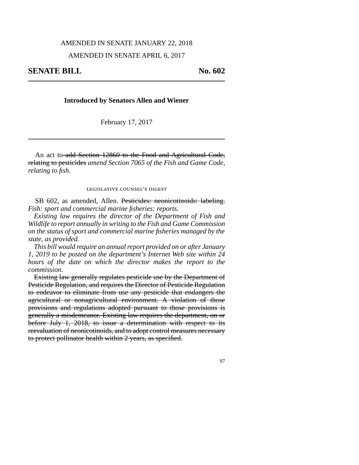## AMENDED IN SENATE JANUARY 22, 2018

# AMENDED IN SENATE APRIL 6, 2017

97

### **Introduced by Senators Allen and Wiener**

February 17, 2017

An act to add Section 12860 to the Food and Agricultural Code, relating to pesticides *amend Section 7065 of the Fish and Game Code, relating to fish*.

#### legislative counsel's digest

SB 602, as amended, Allen. Pesticides: neonicotinoids: labeling. *Fish: sport and commercial marine fisheries: reports.*

*Existing law requires the director of the Department of Fish and Wildlife to report annually in writing to the Fish and Game Commission on the status of sport and commercial marine fisheries managed by the state, as provided.*

*This bill would require an annual report provided on or after January 1, 2019 to be posted on the department's Internet Web site within 24 hours of the date on which the director makes the report to the commission.*

Existing law generally regulates pesticide use by the Department of Pesticide Regulation, and requires the Director of Pesticide Regulation to endeavor to eliminate from use any pesticide that endangers the agricultural or nonagricultural environment. A violation of those provisions and regulations adopted pursuant to those provisions is generally a misdemeanor. Existing law requires the department, on or before July 1, 2018, to issue a determination with respect to its reevaluation of neonicotinoids, and to adopt control measures necessary to protect pollinator health within 2 years, as specified.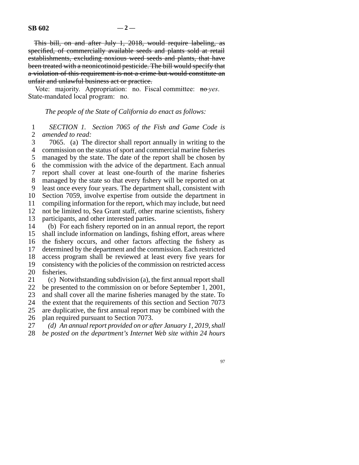This bill, on and after July 1, 2018, would require labeling, as specified, of commercially available seeds and plants sold at retail establishments, excluding noxious weed seeds and plants, that have been treated with a neonicotinoid pesticide. The bill would specify that a violation of this requirement is not a crime but would constitute an unfair and unlawful business act or practice.

Vote: majority. Appropriation: no. Fiscal committee: no-*yes*. State-mandated local program: no.

## *The people of the State of California do enact as follows:*

 line 1 *SECTION 1. Section 7065 of the Fish and Game Code is* 2 *amended to read:* 

3 7065. (a) The director shall report annually in writing to the 4 commission on the status of sport and commercial marine fisheries 5 managed by the state. The date of the report shall be chosen by 6 the commission with the advice of the department. Each annual 7 report shall cover at least one-fourth of the marine fisheries 8 managed by the state so that every fishery will be reported on at 9 least once every four years. The department shall, consistent with 10 Section 7059, involve expertise from outside the department in compiling information for the report, which may include, but need compiling information for the report, which may include, but need 12 not be limited to, Sea Grant staff, other marine scientists, fishery 13 participants, and other interested parties. 14 (b) For each fishery reported on in an annual report, the report 15 shall include information on landings, fishing effort, areas where

16 the fishery occurs, and other factors affecting the fishery as 17 determined by the department and the commission. Each restricted 18 access program shall be reviewed at least every five years for 19 consistency with the policies of the commission on restricted access 20 fisheries.

21 (c) Notwithstanding subdivision (a), the first annual report shall 22 be presented to the commission on or before September 1, 2001,

23 and shall cover all the marine fisheries managed by the state. To

24 the extent that the requirements of this section and Section 7073 25 are duplicative, the first annual report may be combined with the

26 plan required pursuant to Section 7073.

27 (d) An annual report provided on or after January 1, 2019, shall

28 *be posted on the department's Internet Web site within 24 hours* 

97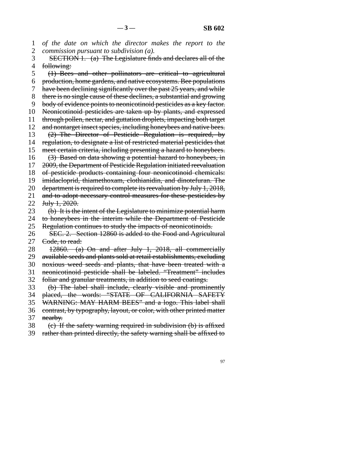1 of the date on which the director makes the report to the 2 *commission pursuant to subdivision (a).* 

3 SECTION 1. (a) The Legislature finds and declares all of the 4 following:

5 (1) Bees and other pollinators are critical to agricultural line 6 production, home gardens, and native ecosystems. Bee populations 7 have been declining significantly over the past 25 years, and while 8 there is no single cause of these declines, a substantial and growing 9 body of evidence points to neonicotinoid pesticides as a key factor. 10 Neonicotinoid pesticides are taken up by plants, and expressed 11 through pollen, nectar, and guttation droplets, impacting both target 12 and nontarget insect species, including honeybees and native bees. 13  $(2)$  The Director of Pesticide Regulation is required, by 14 regulation, to designate a list of restricted material pesticides that 15 meet certain criteria, including presenting a hazard to honeybees. 16  $(3)$  Based on data showing a potential hazard to honeybees, in 17 2009, the Department of Pesticide Regulation initiated reevaluation 18 of pesticide products containing four neonicotinoid chemicals: 19 imidacloprid, thiamethoxam, clothianidin, and dinotefuran. The 20 department is required to complete its reevaluation by July 1, 2018, 21 and to adopt necessary control measures for these pesticides by 22 July  $1, 2020$ . 23 (b) It is the intent of the Legislature to minimize potential harm 24 to honeybees in the interim while the Department of Pesticide<br>25 Regulation continues to study the impacts of neonicotinoids. Regulation continues to study the impacts of neonicotinoids. 26 SEC. 2. Section 12860 is added to the Food and Agricultural 27 <del>Code, to read:</del> 28 12860. (a) On and after July 1, 2018, all commercially 29 available seeds and plants sold at retail establishments, excluding 30 noxious weed seeds and plants, that have been treated with a 31 neonicotinoid pesticide shall be labeled. "Treatment" includes 32 foliar and granular treatments, in addition to seed coatings. 33 (b) The label shall include, clearly visible and prominently 34 placed, the words: "STATE OF CALIFORNIA SAFETY 35 WARNING: MAY HARM BEES" and a logo. This label shall 36 contrast, by typography, layout, or color, with other printed matter 37 nearby.

38 (c) If the safety warning required in subdivision (b) is affixed

39 rather than printed directly, the safety warning shall be affixed to

97